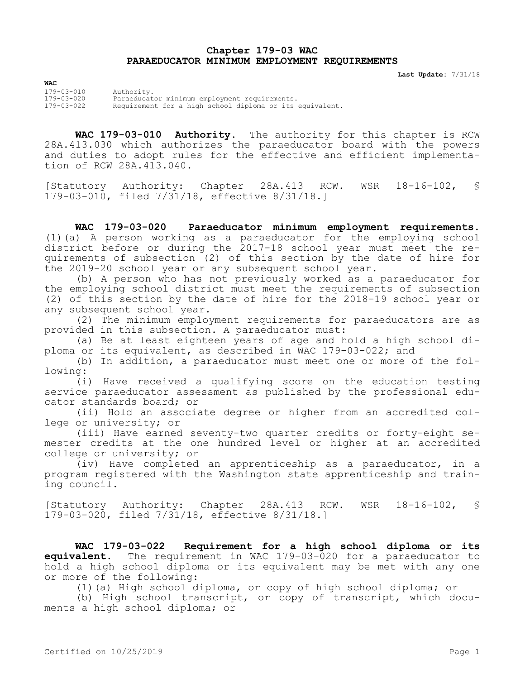## **Chapter 179-03 WAC PARAEDUCATOR MINIMUM EMPLOYMENT REQUIREMENTS**

**Last Update:** 7/31/18

**WAC** 179-03-010 Authority. 179-03-020 Paraeducator minimum employment requirements. Requirement for a high school diploma or its equivalent.

**WAC 179-03-010 Authority.** The authority for this chapter is RCW 28A.413.030 which authorizes the paraeducator board with the powers and duties to adopt rules for the effective and efficient implementation of RCW 28A.413.040.

[Statutory Authority: Chapter 28A.413 RCW. WSR 18-16-102, § 179-03-010, filed 7/31/18, effective 8/31/18.]

**WAC 179-03-020 Paraeducator minimum employment requirements.**  (1)(a) A person working as a paraeducator for the employing school district before or during the 2017-18 school year must meet the requirements of subsection (2) of this section by the date of hire for the 2019-20 school year or any subsequent school year.

(b) A person who has not previously worked as a paraeducator for the employing school district must meet the requirements of subsection (2) of this section by the date of hire for the 2018-19 school year or any subsequent school year.

(2) The minimum employment requirements for paraeducators are as provided in this subsection. A paraeducator must:

(a) Be at least eighteen years of age and hold a high school diploma or its equivalent, as described in WAC 179-03-022; and

(b) In addition, a paraeducator must meet one or more of the following:

(i) Have received a qualifying score on the education testing service paraeducator assessment as published by the professional educator standards board; or

(ii) Hold an associate degree or higher from an accredited college or university; or

(iii) Have earned seventy-two quarter credits or forty-eight semester credits at the one hundred level or higher at an accredited college or university; or

(iv) Have completed an apprenticeship as a paraeducator, in a program registered with the Washington state apprenticeship and training council.

[Statutory Authority: Chapter 28A.413 RCW. WSR 18-16-102, § 179-03-020, filed 7/31/18, effective 8/31/18.]

**WAC 179-03-022 Requirement for a high school diploma or its equivalent.** The requirement in WAC 179-03-020 for a paraeducator to hold a high school diploma or its equivalent may be met with any one or more of the following:

(1)(a) High school diploma, or copy of high school diploma; or

(b) High school transcript, or copy of transcript, which documents a high school diploma; or